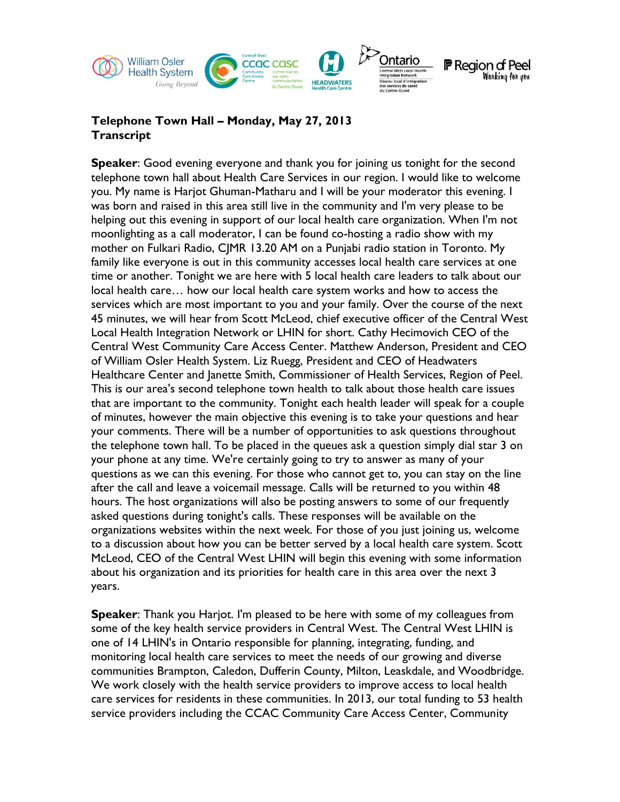

## **Telephone Town Hall – Monday, May 27, 2013 Transcript**

**Speaker**: Good evening everyone and thank you for joining us tonight for the second telephone town hall about Health Care Services in our region. I would like to welcome you. My name is Harjot Ghuman-Matharu and I will be your moderator this evening. I was born and raised in this area still live in the community and I'm very please to be helping out this evening in support of our local health care organization. When I'm not moonlighting as a call moderator, I can be found co-hosting a radio show with my mother on Fulkari Radio, CJMR 13.20 AM on a Punjabi radio station in Toronto. My family like everyone is out in this community accesses local health care services at one time or another. Tonight we are here with 5 local health care leaders to talk about our local health care… how our local health care system works and how to access the services which are most important to you and your family. Over the course of the next 45 minutes, we will hear from Scott McLeod, chief executive officer of the Central West Local Health Integration Network or LHIN for short. Cathy Hecimovich CEO of the Central West Community Care Access Center. Matthew Anderson, President and CEO of William Osler Health System. Liz Ruegg, President and CEO of Headwaters Healthcare Center and Janette Smith, Commissioner of Health Services, Region of Peel. This is our area's second telephone town health to talk about those health care issues that are important to the community. Tonight each health leader will speak for a couple of minutes, however the main objective this evening is to take your questions and hear your comments. There will be a number of opportunities to ask questions throughout the telephone town hall. To be placed in the queues ask a question simply dial star 3 on your phone at any time. We're certainly going to try to answer as many of your questions as we can this evening. For those who cannot get to, you can stay on the line after the call and leave a voicemail message. Calls will be returned to you within 48 hours. The host organizations will also be posting answers to some of our frequently asked questions during tonight's calls. These responses will be available on the organizations websites within the next week. For those of you just joining us, welcome to a discussion about how you can be better served by a local health care system. Scott McLeod, CEO of the Central West LHIN will begin this evening with some information about his organization and its priorities for health care in this area over the next 3 years.

**Speaker**: Thank you Harjot. I'm pleased to be here with some of my colleagues from some of the key health service providers in Central West. The Central West LHIN is one of 14 LHIN's in Ontario responsible for planning, integrating, funding, and monitoring local health care services to meet the needs of our growing and diverse communities Brampton, Caledon, Dufferin County, Milton, Leaskdale, and Woodbridge. We work closely with the health service providers to improve access to local health care services for residents in these communities. In 2013, our total funding to 53 health service providers including the CCAC Community Care Access Center, Community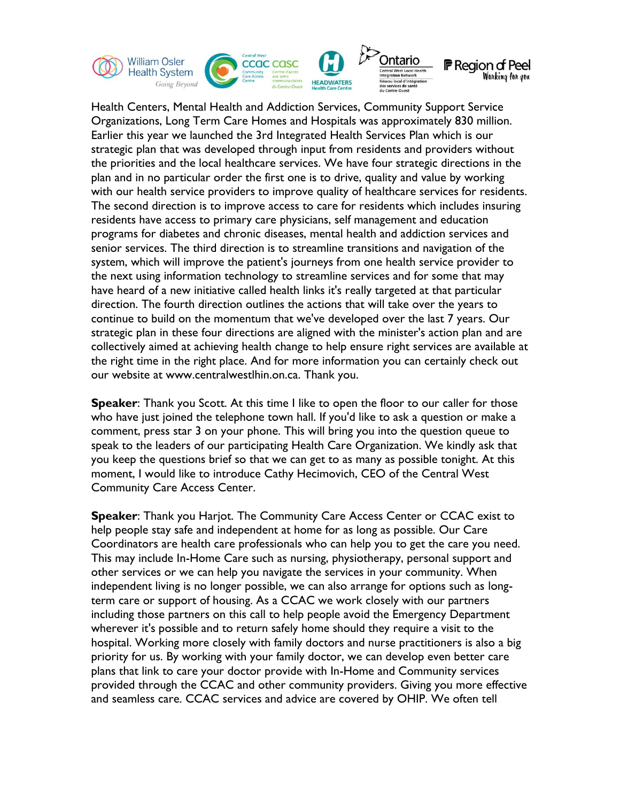

Health Centers, Mental Health and Addiction Services, Community Support Service Organizations, Long Term Care Homes and Hospitals was approximately 830 million. Earlier this year we launched the 3rd Integrated Health Services Plan which is our strategic plan that was developed through input from residents and providers without the priorities and the local healthcare services. We have four strategic directions in the plan and in no particular order the first one is to drive, quality and value by working with our health service providers to improve quality of healthcare services for residents. The second direction is to improve access to care for residents which includes insuring residents have access to primary care physicians, self management and education programs for diabetes and chronic diseases, mental health and addiction services and senior services. The third direction is to streamline transitions and navigation of the system, which will improve the patient's journeys from one health service provider to the next using information technology to streamline services and for some that may have heard of a new initiative called health links it's really targeted at that particular direction. The fourth direction outlines the actions that will take over the years to continue to build on the momentum that we've developed over the last 7 years. Our strategic plan in these four directions are aligned with the minister's action plan and are collectively aimed at achieving health change to help ensure right services are available at the right time in the right place. And for more information you can certainly check out our website at www.centralwestlhin.on.ca. Thank you.

**Speaker:** Thank you Scott. At this time I like to open the floor to our caller for those who have just joined the telephone town hall. If you'd like to ask a question or make a comment, press star 3 on your phone. This will bring you into the question queue to speak to the leaders of our participating Health Care Organization. We kindly ask that you keep the questions brief so that we can get to as many as possible tonight. At this moment, I would like to introduce Cathy Hecimovich, CEO of the Central West Community Care Access Center.

**Speaker**: Thank you Harjot. The Community Care Access Center or CCAC exist to help people stay safe and independent at home for as long as possible. Our Care Coordinators are health care professionals who can help you to get the care you need. This may include In-Home Care such as nursing, physiotherapy, personal support and other services or we can help you navigate the services in your community. When independent living is no longer possible, we can also arrange for options such as longterm care or support of housing. As a CCAC we work closely with our partners including those partners on this call to help people avoid the Emergency Department wherever it's possible and to return safely home should they require a visit to the hospital. Working more closely with family doctors and nurse practitioners is also a big priority for us. By working with your family doctor, we can develop even better care plans that link to care your doctor provide with In-Home and Community services provided through the CCAC and other community providers. Giving you more effective and seamless care. CCAC services and advice are covered by OHIP. We often tell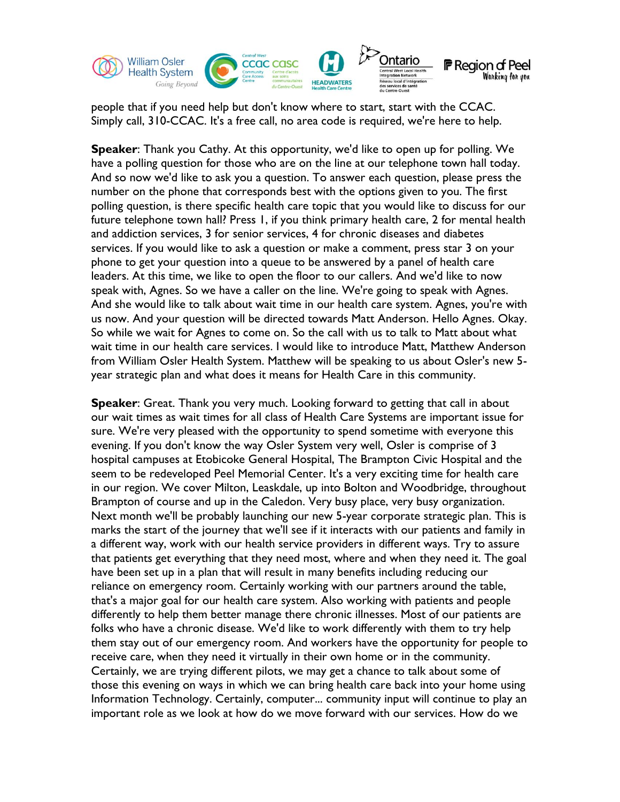

people that if you need help but don't know where to start, start with the CCAC. Simply call, 310-CCAC. It's a free call, no area code is required, we're here to help.

**Speaker**: Thank you Cathy. At this opportunity, we'd like to open up for polling. We have a polling question for those who are on the line at our telephone town hall today. And so now we'd like to ask you a question. To answer each question, please press the number on the phone that corresponds best with the options given to you. The first polling question, is there specific health care topic that you would like to discuss for our future telephone town hall? Press 1, if you think primary health care, 2 for mental health and addiction services, 3 for senior services, 4 for chronic diseases and diabetes services. If you would like to ask a question or make a comment, press star 3 on your phone to get your question into a queue to be answered by a panel of health care leaders. At this time, we like to open the floor to our callers. And we'd like to now speak with, Agnes. So we have a caller on the line. We're going to speak with Agnes. And she would like to talk about wait time in our health care system. Agnes, you're with us now. And your question will be directed towards Matt Anderson. Hello Agnes. Okay. So while we wait for Agnes to come on. So the call with us to talk to Matt about what wait time in our health care services. I would like to introduce Matt, Matthew Anderson from William Osler Health System. Matthew will be speaking to us about Osler's new 5 year strategic plan and what does it means for Health Care in this community.

**Speaker**: Great. Thank you very much. Looking forward to getting that call in about our wait times as wait times for all class of Health Care Systems are important issue for sure. We're very pleased with the opportunity to spend sometime with everyone this evening. If you don't know the way Osler System very well, Osler is comprise of 3 hospital campuses at Etobicoke General Hospital, The Brampton Civic Hospital and the seem to be redeveloped Peel Memorial Center. It's a very exciting time for health care in our region. We cover Milton, Leaskdale, up into Bolton and Woodbridge, throughout Brampton of course and up in the Caledon. Very busy place, very busy organization. Next month we'll be probably launching our new 5-year corporate strategic plan. This is marks the start of the journey that we'll see if it interacts with our patients and family in a different way, work with our health service providers in different ways. Try to assure that patients get everything that they need most, where and when they need it. The goal have been set up in a plan that will result in many benefits including reducing our reliance on emergency room. Certainly working with our partners around the table, that's a major goal for our health care system. Also working with patients and people differently to help them better manage there chronic illnesses. Most of our patients are folks who have a chronic disease. We'd like to work differently with them to try help them stay out of our emergency room. And workers have the opportunity for people to receive care, when they need it virtually in their own home or in the community. Certainly, we are trying different pilots, we may get a chance to talk about some of those this evening on ways in which we can bring health care back into your home using Information Technology. Certainly, computer... community input will continue to play an important role as we look at how do we move forward with our services. How do we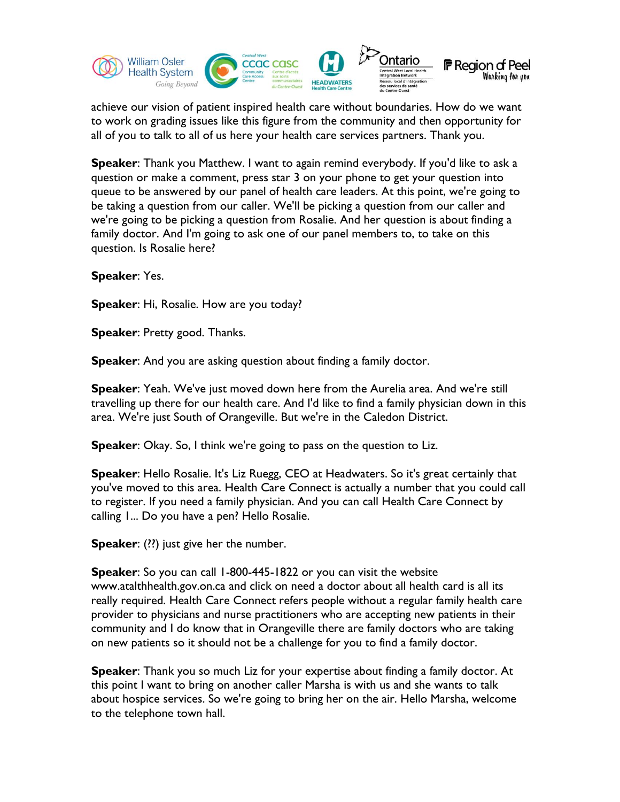

achieve our vision of patient inspired health care without boundaries. How do we want to work on grading issues like this figure from the community and then opportunity for all of you to talk to all of us here your health care services partners. Thank you.

**Speaker**: Thank you Matthew. I want to again remind everybody. If you'd like to ask a question or make a comment, press star 3 on your phone to get your question into queue to be answered by our panel of health care leaders. At this point, we're going to be taking a question from our caller. We'll be picking a question from our caller and we're going to be picking a question from Rosalie. And her question is about finding a family doctor. And I'm going to ask one of our panel members to, to take on this question. Is Rosalie here?

**Speaker**: Yes.

**Speaker**: Hi, Rosalie. How are you today?

**Speaker**: Pretty good. Thanks.

**Speaker:** And you are asking question about finding a family doctor.

**Speaker**: Yeah. We've just moved down here from the Aurelia area. And we're still travelling up there for our health care. And I'd like to find a family physician down in this area. We're just South of Orangeville. But we're in the Caledon District.

**Speaker**: Okay. So, I think we're going to pass on the question to Liz.

**Speaker**: Hello Rosalie. It's Liz Ruegg, CEO at Headwaters. So it's great certainly that you've moved to this area. Health Care Connect is actually a number that you could call to register. If you need a family physician. And you can call Health Care Connect by calling 1... Do you have a pen? Hello Rosalie.

**Speaker:** (??) just give her the number.

**Speaker**: So you can call 1-800-445-1822 or you can visit the website www.atalthhealth.gov.on.ca and click on need a doctor about all health card is all its really required. Health Care Connect refers people without a regular family health care provider to physicians and nurse practitioners who are accepting new patients in their community and I do know that in Orangeville there are family doctors who are taking on new patients so it should not be a challenge for you to find a family doctor.

**Speaker**: Thank you so much Liz for your expertise about finding a family doctor. At this point I want to bring on another caller Marsha is with us and she wants to talk about hospice services. So we're going to bring her on the air. Hello Marsha, welcome to the telephone town hall.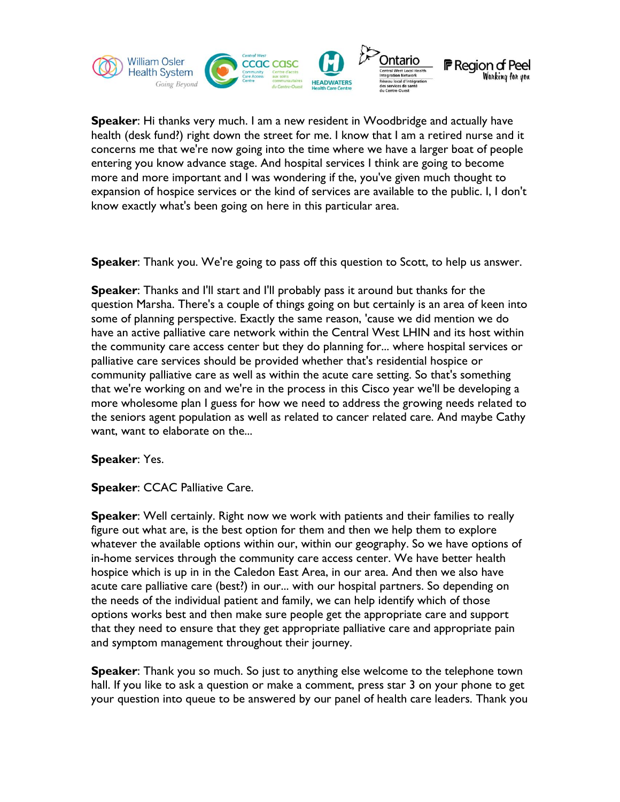

**Speaker**: Hi thanks very much. I am a new resident in Woodbridge and actually have health (desk fund?) right down the street for me. I know that I am a retired nurse and it concerns me that we're now going into the time where we have a larger boat of people entering you know advance stage. And hospital services I think are going to become more and more important and I was wondering if the, you've given much thought to expansion of hospice services or the kind of services are available to the public. I, I don't know exactly what's been going on here in this particular area.

**Speaker**: Thank you. We're going to pass off this question to Scott, to help us answer.

**Speaker**: Thanks and I'll start and I'll probably pass it around but thanks for the question Marsha. There's a couple of things going on but certainly is an area of keen into some of planning perspective. Exactly the same reason, 'cause we did mention we do have an active palliative care network within the Central West LHIN and its host within the community care access center but they do planning for... where hospital services or palliative care services should be provided whether that's residential hospice or community palliative care as well as within the acute care setting. So that's something that we're working on and we're in the process in this Cisco year we'll be developing a more wholesome plan I guess for how we need to address the growing needs related to the seniors agent population as well as related to cancer related care. And maybe Cathy want, want to elaborate on the...

## **Speaker**: Yes.

**Speaker**: CCAC Palliative Care.

**Speaker**: Well certainly. Right now we work with patients and their families to really figure out what are, is the best option for them and then we help them to explore whatever the available options within our, within our geography. So we have options of in-home services through the community care access center. We have better health hospice which is up in in the Caledon East Area, in our area. And then we also have acute care palliative care (best?) in our... with our hospital partners. So depending on the needs of the individual patient and family, we can help identify which of those options works best and then make sure people get the appropriate care and support that they need to ensure that they get appropriate palliative care and appropriate pain and symptom management throughout their journey.

**Speaker**: Thank you so much. So just to anything else welcome to the telephone town hall. If you like to ask a question or make a comment, press star 3 on your phone to get your question into queue to be answered by our panel of health care leaders. Thank you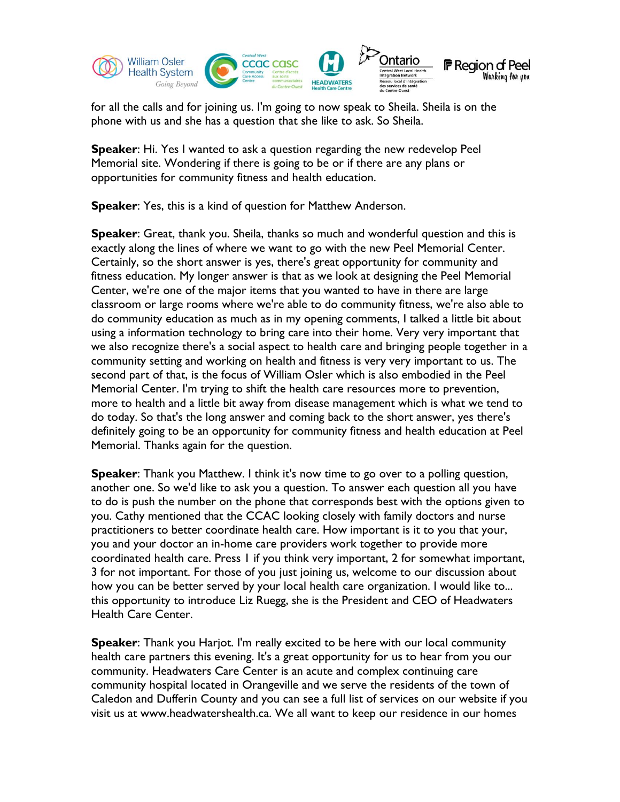

for all the calls and for joining us. I'm going to now speak to Sheila. Sheila is on the phone with us and she has a question that she like to ask. So Sheila.

**Speaker**: Hi. Yes I wanted to ask a question regarding the new redevelop Peel Memorial site. Wondering if there is going to be or if there are any plans or opportunities for community fitness and health education.

**Speaker**: Yes, this is a kind of question for Matthew Anderson.

**Speaker**: Great, thank you. Sheila, thanks so much and wonderful question and this is exactly along the lines of where we want to go with the new Peel Memorial Center. Certainly, so the short answer is yes, there's great opportunity for community and fitness education. My longer answer is that as we look at designing the Peel Memorial Center, we're one of the major items that you wanted to have in there are large classroom or large rooms where we're able to do community fitness, we're also able to do community education as much as in my opening comments, I talked a little bit about using a information technology to bring care into their home. Very very important that we also recognize there's a social aspect to health care and bringing people together in a community setting and working on health and fitness is very very important to us. The second part of that, is the focus of William Osler which is also embodied in the Peel Memorial Center. I'm trying to shift the health care resources more to prevention, more to health and a little bit away from disease management which is what we tend to do today. So that's the long answer and coming back to the short answer, yes there's definitely going to be an opportunity for community fitness and health education at Peel Memorial. Thanks again for the question.

**Speaker**: Thank you Matthew. I think it's now time to go over to a polling question, another one. So we'd like to ask you a question. To answer each question all you have to do is push the number on the phone that corresponds best with the options given to you. Cathy mentioned that the CCAC looking closely with family doctors and nurse practitioners to better coordinate health care. How important is it to you that your, you and your doctor an in-home care providers work together to provide more coordinated health care. Press 1 if you think very important, 2 for somewhat important, 3 for not important. For those of you just joining us, welcome to our discussion about how you can be better served by your local health care organization. I would like to... this opportunity to introduce Liz Ruegg, she is the President and CEO of Headwaters Health Care Center.

**Speaker**: Thank you Harjot. I'm really excited to be here with our local community health care partners this evening. It's a great opportunity for us to hear from you our community. Headwaters Care Center is an acute and complex continuing care community hospital located in Orangeville and we serve the residents of the town of Caledon and Dufferin County and you can see a full list of services on our website if you visit us at www.headwatershealth.ca. We all want to keep our residence in our homes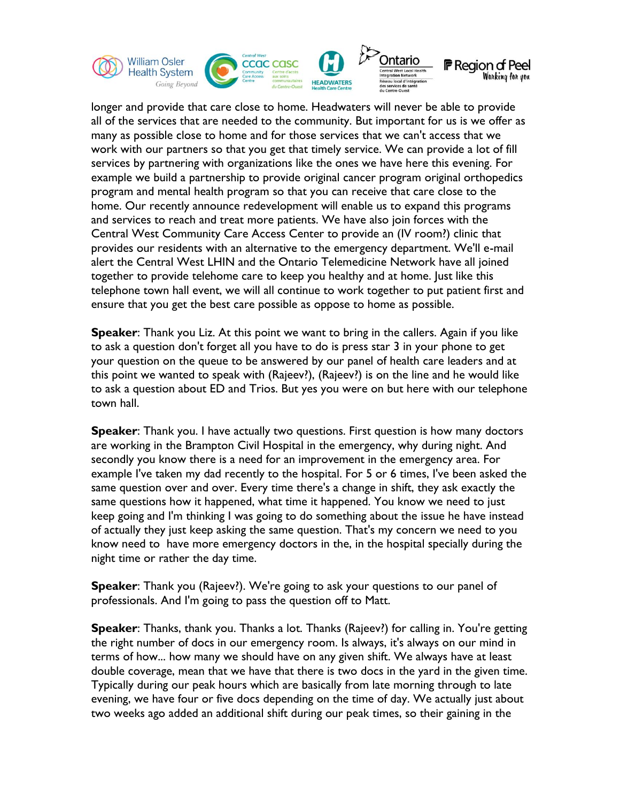

longer and provide that care close to home. Headwaters will never be able to provide all of the services that are needed to the community. But important for us is we offer as many as possible close to home and for those services that we can't access that we work with our partners so that you get that timely service. We can provide a lot of fill services by partnering with organizations like the ones we have here this evening. For example we build a partnership to provide original cancer program original orthopedics program and mental health program so that you can receive that care close to the home. Our recently announce redevelopment will enable us to expand this programs and services to reach and treat more patients. We have also join forces with the Central West Community Care Access Center to provide an (IV room?) clinic that provides our residents with an alternative to the emergency department. We'll e-mail alert the Central West LHIN and the Ontario Telemedicine Network have all joined together to provide telehome care to keep you healthy and at home. Just like this telephone town hall event, we will all continue to work together to put patient first and ensure that you get the best care possible as oppose to home as possible.

**Speaker**: Thank you Liz. At this point we want to bring in the callers. Again if you like to ask a question don't forget all you have to do is press star 3 in your phone to get your question on the queue to be answered by our panel of health care leaders and at this point we wanted to speak with (Rajeev?), (Rajeev?) is on the line and he would like to ask a question about ED and Trios. But yes you were on but here with our telephone town hall.

**Speaker**: Thank you. I have actually two questions. First question is how many doctors are working in the Brampton Civil Hospital in the emergency, why during night. And secondly you know there is a need for an improvement in the emergency area. For example I've taken my dad recently to the hospital. For 5 or 6 times, I've been asked the same question over and over. Every time there's a change in shift, they ask exactly the same questions how it happened, what time it happened. You know we need to just keep going and I'm thinking I was going to do something about the issue he have instead of actually they just keep asking the same question. That's my concern we need to you know need to have more emergency doctors in the, in the hospital specially during the night time or rather the day time.

**Speaker**: Thank you (Rajeev?). We're going to ask your questions to our panel of professionals. And I'm going to pass the question off to Matt.

**Speaker**: Thanks, thank you. Thanks a lot. Thanks (Rajeev?) for calling in. You're getting the right number of docs in our emergency room. Is always, it's always on our mind in terms of how... how many we should have on any given shift. We always have at least double coverage, mean that we have that there is two docs in the yard in the given time. Typically during our peak hours which are basically from late morning through to late evening, we have four or five docs depending on the time of day. We actually just about two weeks ago added an additional shift during our peak times, so their gaining in the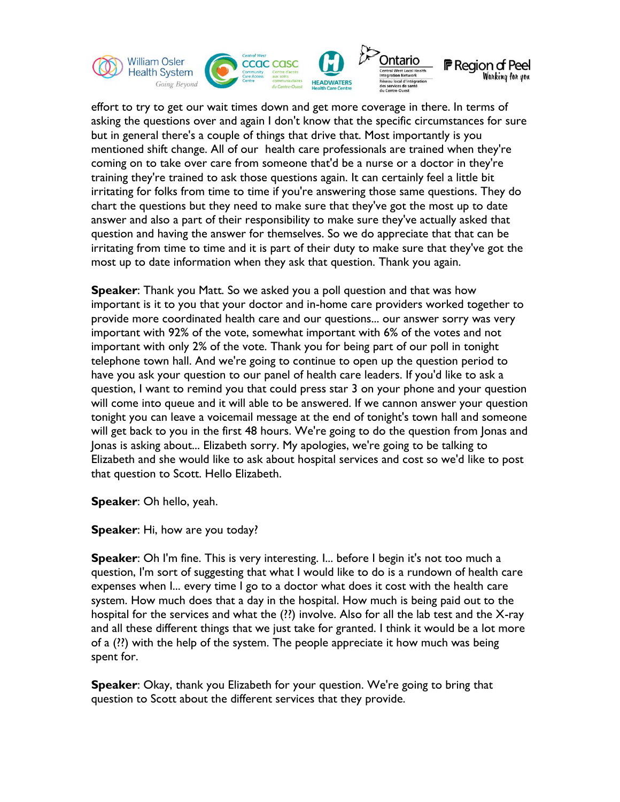

effort to try to get our wait times down and get more coverage in there. In terms of asking the questions over and again I don't know that the specific circumstances for sure but in general there's a couple of things that drive that. Most importantly is you mentioned shift change. All of our health care professionals are trained when they're coming on to take over care from someone that'd be a nurse or a doctor in they're training they're trained to ask those questions again. It can certainly feel a little bit irritating for folks from time to time if you're answering those same questions. They do chart the questions but they need to make sure that they've got the most up to date answer and also a part of their responsibility to make sure they've actually asked that question and having the answer for themselves. So we do appreciate that that can be irritating from time to time and it is part of their duty to make sure that they've got the most up to date information when they ask that question. Thank you again.

**Speaker**: Thank you Matt. So we asked you a poll question and that was how important is it to you that your doctor and in-home care providers worked together to provide more coordinated health care and our questions... our answer sorry was very important with 92% of the vote, somewhat important with 6% of the votes and not important with only 2% of the vote. Thank you for being part of our poll in tonight telephone town hall. And we're going to continue to open up the question period to have you ask your question to our panel of health care leaders. If you'd like to ask a question, I want to remind you that could press star 3 on your phone and your question will come into queue and it will able to be answered. If we cannon answer your question tonight you can leave a voicemail message at the end of tonight's town hall and someone will get back to you in the first 48 hours. We're going to do the question from Jonas and Jonas is asking about... Elizabeth sorry. My apologies, we're going to be talking to Elizabeth and she would like to ask about hospital services and cost so we'd like to post that question to Scott. Hello Elizabeth.

**Speaker**: Oh hello, yeah.

**Speaker**: Hi, how are you today?

**Speaker**: Oh I'm fine. This is very interesting. I... before I begin it's not too much a question, I'm sort of suggesting that what I would like to do is a rundown of health care expenses when I... every time I go to a doctor what does it cost with the health care system. How much does that a day in the hospital. How much is being paid out to the hospital for the services and what the (??) involve. Also for all the lab test and the X-ray and all these different things that we just take for granted. I think it would be a lot more of a (??) with the help of the system. The people appreciate it how much was being spent for.

**Speaker**: Okay, thank you Elizabeth for your question. We're going to bring that question to Scott about the different services that they provide.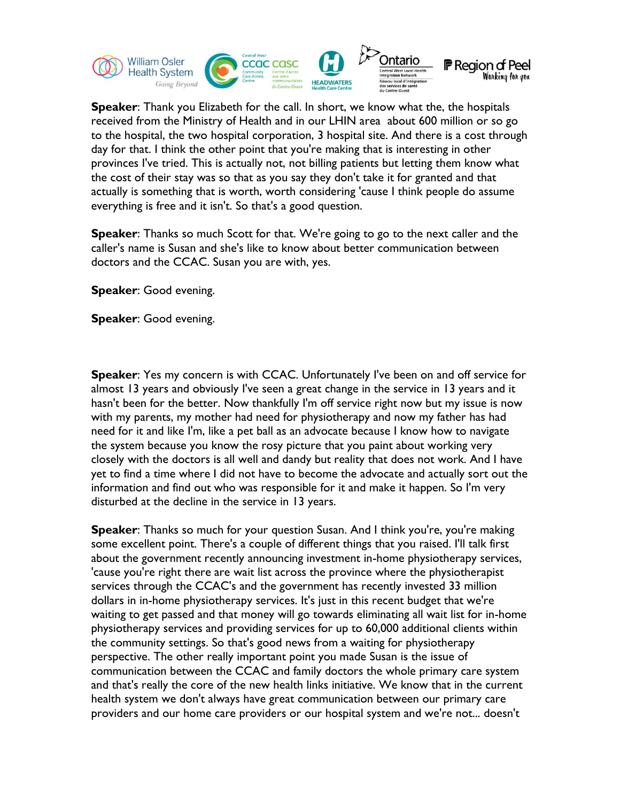

**Speaker**: Thank you Elizabeth for the call. In short, we know what the, the hospitals received from the Ministry of Health and in our LHIN area about 600 million or so go to the hospital, the two hospital corporation, 3 hospital site. And there is a cost through day for that. I think the other point that you're making that is interesting in other provinces I've tried. This is actually not, not billing patients but letting them know what the cost of their stay was so that as you say they don't take it for granted and that actually is something that is worth, worth considering 'cause I think people do assume everything is free and it isn't. So that's a good question.

**Speaker**: Thanks so much Scott for that. We're going to go to the next caller and the caller's name is Susan and she's like to know about better communication between doctors and the CCAC. Susan you are with, yes.

**Speaker**: Good evening.

**Speaker**: Good evening.

**Speaker**: Yes my concern is with CCAC. Unfortunately I've been on and off service for almost 13 years and obviously I've seen a great change in the service in 13 years and it hasn't been for the better. Now thankfully I'm off service right now but my issue is now with my parents, my mother had need for physiotherapy and now my father has had need for it and like I'm, like a pet ball as an advocate because I know how to navigate the system because you know the rosy picture that you paint about working very closely with the doctors is all well and dandy but reality that does not work. And I have yet to find a time where I did not have to become the advocate and actually sort out the information and find out who was responsible for it and make it happen. So I'm very disturbed at the decline in the service in 13 years.

**Speaker**: Thanks so much for your question Susan. And I think you're, you're making some excellent point. There's a couple of different things that you raised. I'll talk first about the government recently announcing investment in-home physiotherapy services, 'cause you're right there are wait list across the province where the physiotherapist services through the CCAC's and the government has recently invested 33 million dollars in in-home physiotherapy services. It's just in this recent budget that we're waiting to get passed and that money will go towards eliminating all wait list for in-home physiotherapy services and providing services for up to 60,000 additional clients within the community settings. So that's good news from a waiting for physiotherapy perspective. The other really important point you made Susan is the issue of communication between the CCAC and family doctors the whole primary care system and that's really the core of the new health links initiative. We know that in the current health system we don't always have great communication between our primary care providers and our home care providers or our hospital system and we're not... doesn't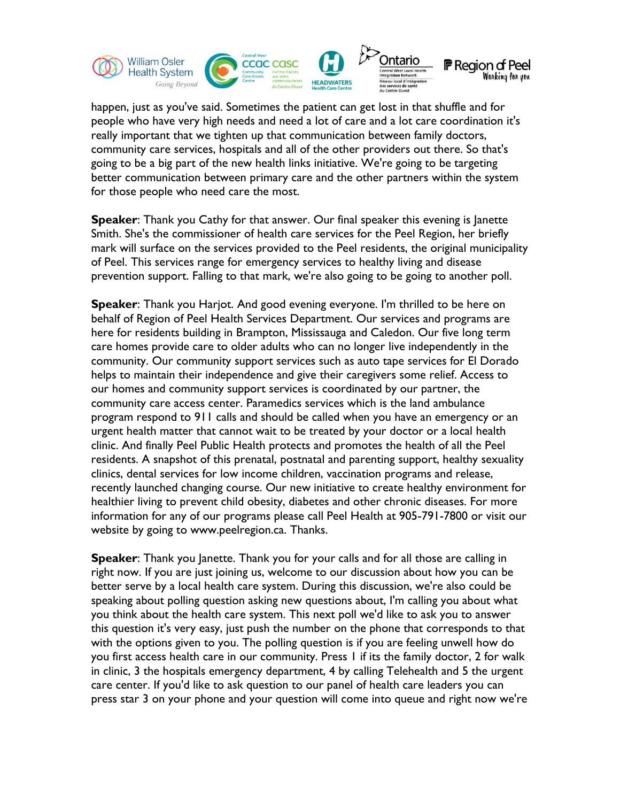

happen, just as you've said. Sometimes the patient can get lost in that shuffle and for people who have very high needs and need a lot of care and a lot care coordination it's really important that we tighten up that communication between family doctors, community care services, hospitals and all of the other providers out there. So that's going to be a big part of the new health links initiative. We're going to be targeting better communication between primary care and the other partners within the system for those people who need care the most.

**Speaker**: Thank you Cathy for that answer. Our final speaker this evening is Janette Smith. She's the commissioner of health care services for the Peel Region, her briefly mark will surface on the services provided to the Peel residents, the original municipality of Peel. This services range for emergency services to healthy living and disease prevention support. Falling to that mark, we're also going to be going to another poll.

**Speaker**: Thank you Harjot. And good evening everyone. I'm thrilled to be here on behalf of Region of Peel Health Services Department. Our services and programs are here for residents building in Brampton, Mississauga and Caledon. Our five long term care homes provide care to older adults who can no longer live independently in the community. Our community support services such as auto tape services for El Dorado helps to maintain their independence and give their caregivers some relief. Access to our homes and community support services is coordinated by our partner, the community care access center. Paramedics services which is the land ambulance program respond to 911 calls and should be called when you have an emergency or an urgent health matter that cannot wait to be treated by your doctor or a local health clinic. And finally Peel Public Health protects and promotes the health of all the Peel residents. A snapshot of this prenatal, postnatal and parenting support, healthy sexuality clinics, dental services for low income children, vaccination programs and release, recently launched changing course. Our new initiative to create healthy environment for healthier living to prevent child obesity, diabetes and other chronic diseases. For more information for any of our programs please call Peel Health at 905-791-7800 or visit our website by going to www.peelregion.ca. Thanks.

**Speaker**: Thank you Janette. Thank you for your calls and for all those are calling in right now. If you are just joining us, welcome to our discussion about how you can be better serve by a local health care system. During this discussion, we're also could be speaking about polling question asking new questions about, I'm calling you about what you think about the health care system. This next poll we'd like to ask you to answer this question it's very easy, just push the number on the phone that corresponds to that with the options given to you. The polling question is if you are feeling unwell how do you first access health care in our community. Press 1 if its the family doctor, 2 for walk in clinic, 3 the hospitals emergency department, 4 by calling Telehealth and 5 the urgent care center. If you'd like to ask question to our panel of health care leaders you can press star 3 on your phone and your question will come into queue and right now we're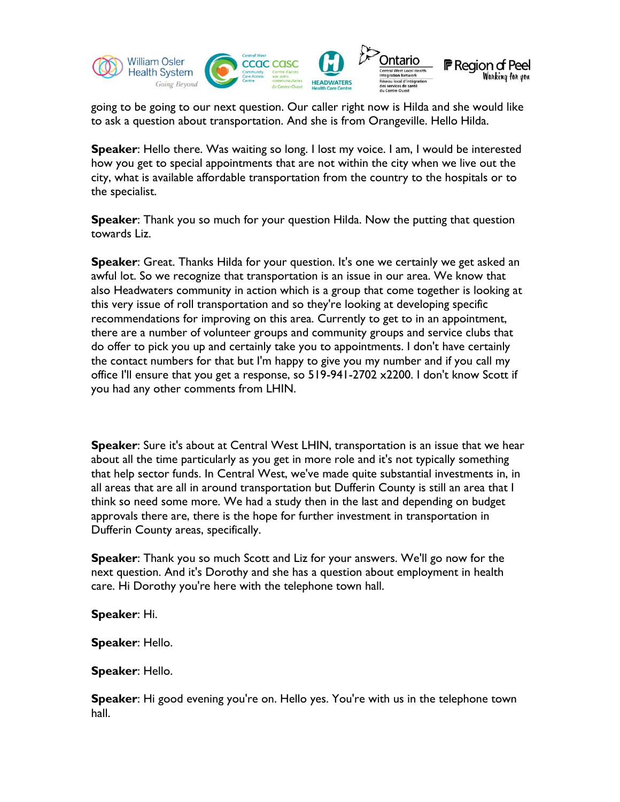

going to be going to our next question. Our caller right now is Hilda and she would like to ask a question about transportation. And she is from Orangeville. Hello Hilda.

**Speaker**: Hello there. Was waiting so long. I lost my voice. I am, I would be interested how you get to special appointments that are not within the city when we live out the city, what is available affordable transportation from the country to the hospitals or to the specialist.

**Speaker**: Thank you so much for your question Hilda. Now the putting that question towards Liz.

**Speaker**: Great. Thanks Hilda for your question. It's one we certainly we get asked an awful lot. So we recognize that transportation is an issue in our area. We know that also Headwaters community in action which is a group that come together is looking at this very issue of roll transportation and so they're looking at developing specific recommendations for improving on this area. Currently to get to in an appointment, there are a number of volunteer groups and community groups and service clubs that do offer to pick you up and certainly take you to appointments. I don't have certainly the contact numbers for that but I'm happy to give you my number and if you call my office I'll ensure that you get a response, so 519-941-2702 x2200. I don't know Scott if you had any other comments from LHIN.

**Speaker**: Sure it's about at Central West LHIN, transportation is an issue that we hear about all the time particularly as you get in more role and it's not typically something that help sector funds. In Central West, we've made quite substantial investments in, in all areas that are all in around transportation but Dufferin County is still an area that I think so need some more. We had a study then in the last and depending on budget approvals there are, there is the hope for further investment in transportation in Dufferin County areas, specifically.

**Speaker**: Thank you so much Scott and Liz for your answers. We'll go now for the next question. And it's Dorothy and she has a question about employment in health care. Hi Dorothy you're here with the telephone town hall.

**Speaker**: Hi.

**Speaker**: Hello.

**Speaker**: Hello.

**Speaker**: Hi good evening you're on. Hello yes. You're with us in the telephone town hall.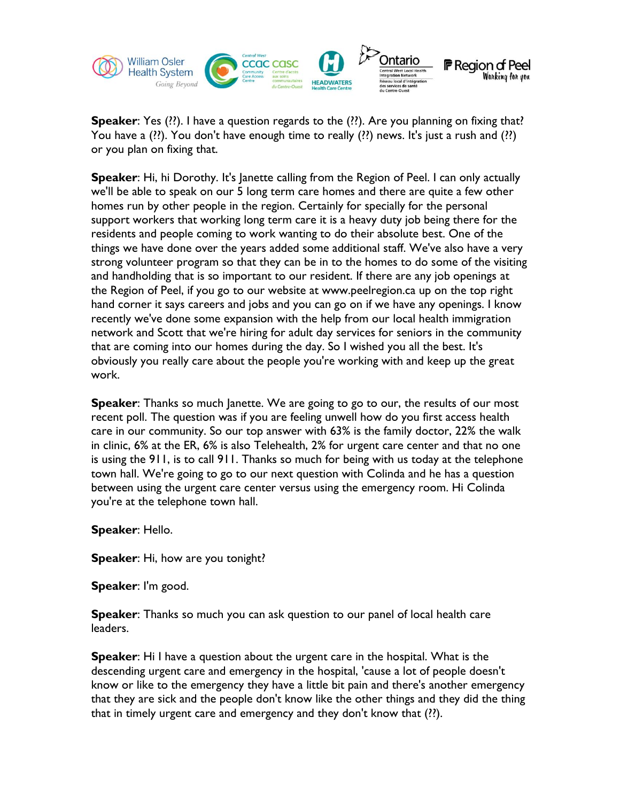

**Speaker**: Yes (??). I have a question regards to the (??). Are you planning on fixing that? You have a (??). You don't have enough time to really (??) news. It's just a rush and (??) or you plan on fixing that.

**Speaker**: Hi, hi Dorothy. It's Janette calling from the Region of Peel. I can only actually we'll be able to speak on our 5 long term care homes and there are quite a few other homes run by other people in the region. Certainly for specially for the personal support workers that working long term care it is a heavy duty job being there for the residents and people coming to work wanting to do their absolute best. One of the things we have done over the years added some additional staff. We've also have a very strong volunteer program so that they can be in to the homes to do some of the visiting and handholding that is so important to our resident. If there are any job openings at the Region of Peel, if you go to our website at www.peelregion.ca up on the top right hand corner it says careers and jobs and you can go on if we have any openings. I know recently we've done some expansion with the help from our local health immigration network and Scott that we're hiring for adult day services for seniors in the community that are coming into our homes during the day. So I wished you all the best. It's obviously you really care about the people you're working with and keep up the great work.

**Speaker:** Thanks so much Janette. We are going to go to our, the results of our most recent poll. The question was if you are feeling unwell how do you first access health care in our community. So our top answer with 63% is the family doctor, 22% the walk in clinic, 6% at the ER, 6% is also Telehealth, 2% for urgent care center and that no one is using the 911, is to call 911. Thanks so much for being with us today at the telephone town hall. We're going to go to our next question with Colinda and he has a question between using the urgent care center versus using the emergency room. Hi Colinda you're at the telephone town hall.

**Speaker**: Hello.

**Speaker**: Hi, how are you tonight?

**Speaker**: I'm good.

**Speaker**: Thanks so much you can ask question to our panel of local health care leaders.

**Speaker**: Hi I have a question about the urgent care in the hospital. What is the descending urgent care and emergency in the hospital, 'cause a lot of people doesn't know or like to the emergency they have a little bit pain and there's another emergency that they are sick and the people don't know like the other things and they did the thing that in timely urgent care and emergency and they don't know that (??).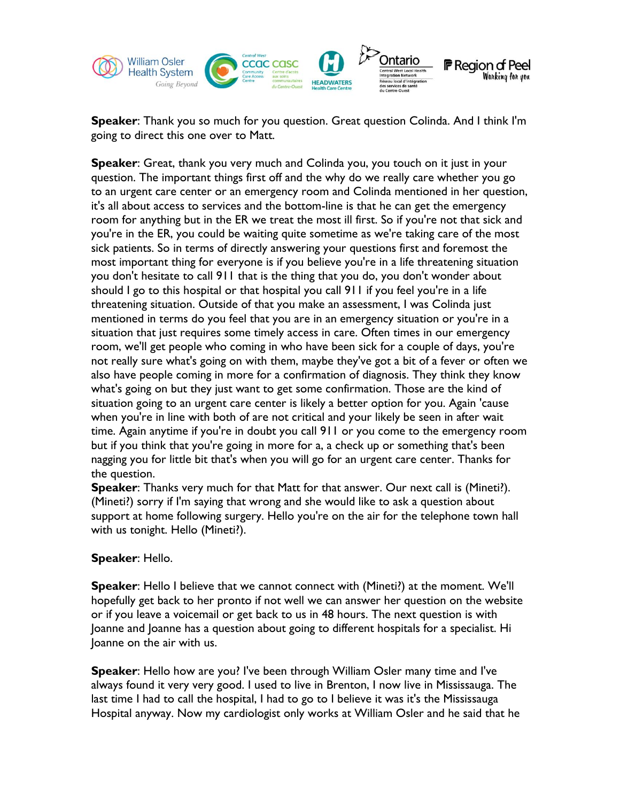

**Speaker**: Thank you so much for you question. Great question Colinda. And I think I'm going to direct this one over to Matt.

**Speaker**: Great, thank you very much and Colinda you, you touch on it just in your question. The important things first off and the why do we really care whether you go to an urgent care center or an emergency room and Colinda mentioned in her question, it's all about access to services and the bottom-line is that he can get the emergency room for anything but in the ER we treat the most ill first. So if you're not that sick and you're in the ER, you could be waiting quite sometime as we're taking care of the most sick patients. So in terms of directly answering your questions first and foremost the most important thing for everyone is if you believe you're in a life threatening situation you don't hesitate to call 911 that is the thing that you do, you don't wonder about should I go to this hospital or that hospital you call 911 if you feel you're in a life threatening situation. Outside of that you make an assessment, I was Colinda just mentioned in terms do you feel that you are in an emergency situation or you're in a situation that just requires some timely access in care. Often times in our emergency room, we'll get people who coming in who have been sick for a couple of days, you're not really sure what's going on with them, maybe they've got a bit of a fever or often we also have people coming in more for a confirmation of diagnosis. They think they know what's going on but they just want to get some confirmation. Those are the kind of situation going to an urgent care center is likely a better option for you. Again 'cause when you're in line with both of are not critical and your likely be seen in after wait time. Again anytime if you're in doubt you call 911 or you come to the emergency room but if you think that you're going in more for a, a check up or something that's been nagging you for little bit that's when you will go for an urgent care center. Thanks for the question.

**Speaker**: Thanks very much for that Matt for that answer. Our next call is (Mineti?). (Mineti?) sorry if I'm saying that wrong and she would like to ask a question about support at home following surgery. Hello you're on the air for the telephone town hall with us tonight. Hello (Mineti?).

## **Speaker**: Hello.

**Speaker**: Hello I believe that we cannot connect with (Mineti?) at the moment. We'll hopefully get back to her pronto if not well we can answer her question on the website or if you leave a voicemail or get back to us in 48 hours. The next question is with Joanne and Joanne has a question about going to different hospitals for a specialist. Hi Joanne on the air with us.

**Speaker**: Hello how are you? I've been through William Osler many time and I've always found it very very good. I used to live in Brenton, I now live in Mississauga. The last time I had to call the hospital, I had to go to I believe it was it's the Mississauga Hospital anyway. Now my cardiologist only works at William Osler and he said that he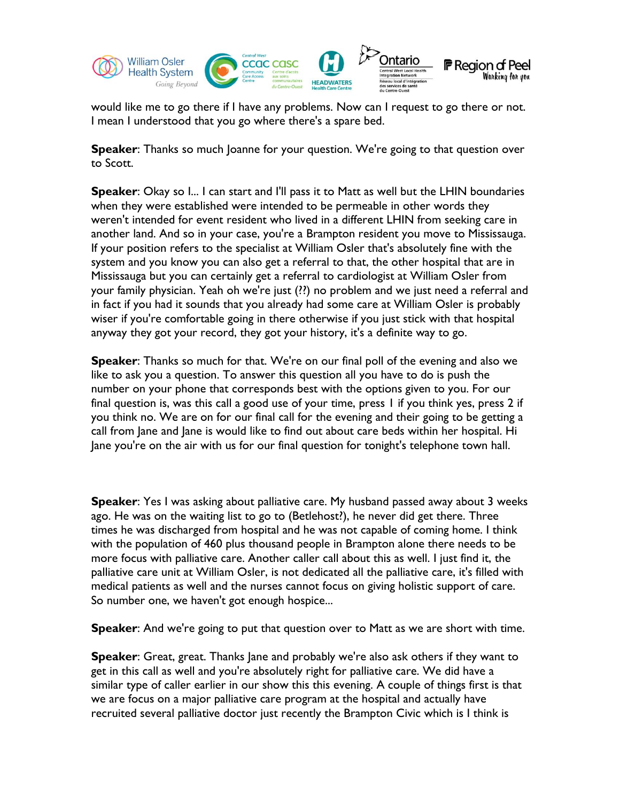

would like me to go there if I have any problems. Now can I request to go there or not. I mean I understood that you go where there's a spare bed.

**Speaker:** Thanks so much Joanne for your question. We're going to that question over to Scott.

**Speaker:** Okay so I... I can start and I'll pass it to Matt as well but the LHIN boundaries when they were established were intended to be permeable in other words they weren't intended for event resident who lived in a different LHIN from seeking care in another land. And so in your case, you're a Brampton resident you move to Mississauga. If your position refers to the specialist at William Osler that's absolutely fine with the system and you know you can also get a referral to that, the other hospital that are in Mississauga but you can certainly get a referral to cardiologist at William Osler from your family physician. Yeah oh we're just (??) no problem and we just need a referral and in fact if you had it sounds that you already had some care at William Osler is probably wiser if you're comfortable going in there otherwise if you just stick with that hospital anyway they got your record, they got your history, it's a definite way to go.

**Speaker**: Thanks so much for that. We're on our final poll of the evening and also we like to ask you a question. To answer this question all you have to do is push the number on your phone that corresponds best with the options given to you. For our final question is, was this call a good use of your time, press 1 if you think yes, press 2 if you think no. We are on for our final call for the evening and their going to be getting a call from Jane and Jane is would like to find out about care beds within her hospital. Hi Jane you're on the air with us for our final question for tonight's telephone town hall.

**Speaker**: Yes I was asking about palliative care. My husband passed away about 3 weeks ago. He was on the waiting list to go to (Betlehost?), he never did get there. Three times he was discharged from hospital and he was not capable of coming home. I think with the population of 460 plus thousand people in Brampton alone there needs to be more focus with palliative care. Another caller call about this as well. I just find it, the palliative care unit at William Osler, is not dedicated all the palliative care, it's filled with medical patients as well and the nurses cannot focus on giving holistic support of care. So number one, we haven't got enough hospice...

**Speaker**: And we're going to put that question over to Matt as we are short with time.

**Speaker**: Great, great. Thanks Jane and probably we're also ask others if they want to get in this call as well and you're absolutely right for palliative care. We did have a similar type of caller earlier in our show this this evening. A couple of things first is that we are focus on a major palliative care program at the hospital and actually have recruited several palliative doctor just recently the Brampton Civic which is I think is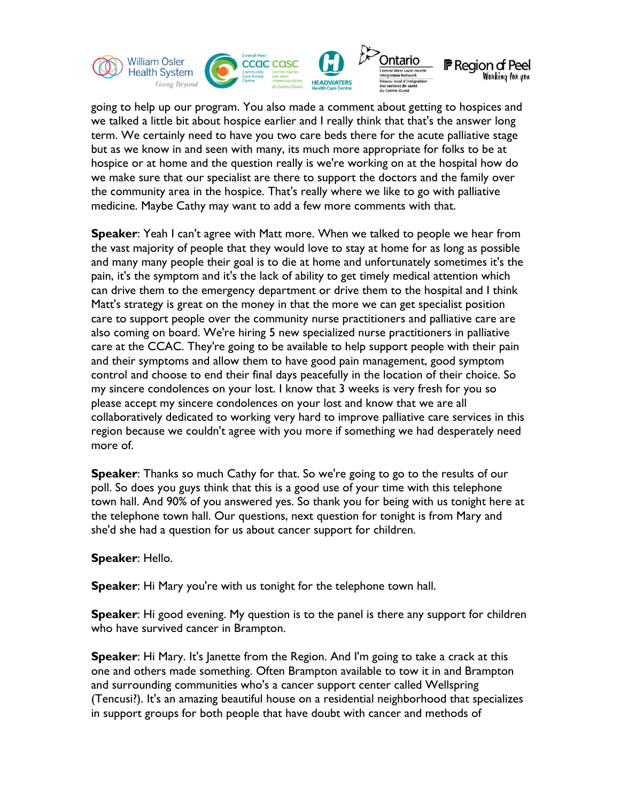

going to help up our program. You also made a comment about getting to hospices and we talked a little bit about hospice earlier and I really think that that's the answer long term. We certainly need to have you two care beds there for the acute palliative stage but as we know in and seen with many, its much more appropriate for folks to be at hospice or at home and the question really is we're working on at the hospital how do we make sure that our specialist are there to support the doctors and the family over the community area in the hospice. That's really where we like to go with palliative medicine. Maybe Cathy may want to add a few more comments with that.

**Speaker**: Yeah I can't agree with Matt more. When we talked to people we hear from the vast majority of people that they would love to stay at home for as long as possible and many many people their goal is to die at home and unfortunately sometimes it's the pain, it's the symptom and it's the lack of ability to get timely medical attention which can drive them to the emergency department or drive them to the hospital and I think Matt's strategy is great on the money in that the more we can get specialist position care to support people over the community nurse practitioners and palliative care are also coming on board. We're hiring 5 new specialized nurse practitioners in palliative care at the CCAC. They're going to be available to help support people with their pain and their symptoms and allow them to have good pain management, good symptom control and choose to end their final days peacefully in the location of their choice. So my sincere condolences on your lost. I know that 3 weeks is very fresh for you so please accept my sincere condolences on your lost and know that we are all collaboratively dedicated to working very hard to improve palliative care services in this region because we couldn't agree with you more if something we had desperately need more of.

**Speaker**: Thanks so much Cathy for that. So we're going to go to the results of our poll. So does you guys think that this is a good use of your time with this telephone town hall. And 90% of you answered yes. So thank you for being with us tonight here at the telephone town hall. Our questions, next question for tonight is from Mary and she'd she had a question for us about cancer support for children.

## **Speaker**: Hello.

**Speaker**: Hi Mary you're with us tonight for the telephone town hall.

**Speaker**: Hi good evening. My question is to the panel is there any support for children who have survived cancer in Brampton.

**Speaker**: Hi Mary. It's Janette from the Region. And I'm going to take a crack at this one and others made something. Often Brampton available to tow it in and Brampton and surrounding communities who's a cancer support center called Wellspring (Tencusi?). It's an amazing beautiful house on a residential neighborhood that specializes in support groups for both people that have doubt with cancer and methods of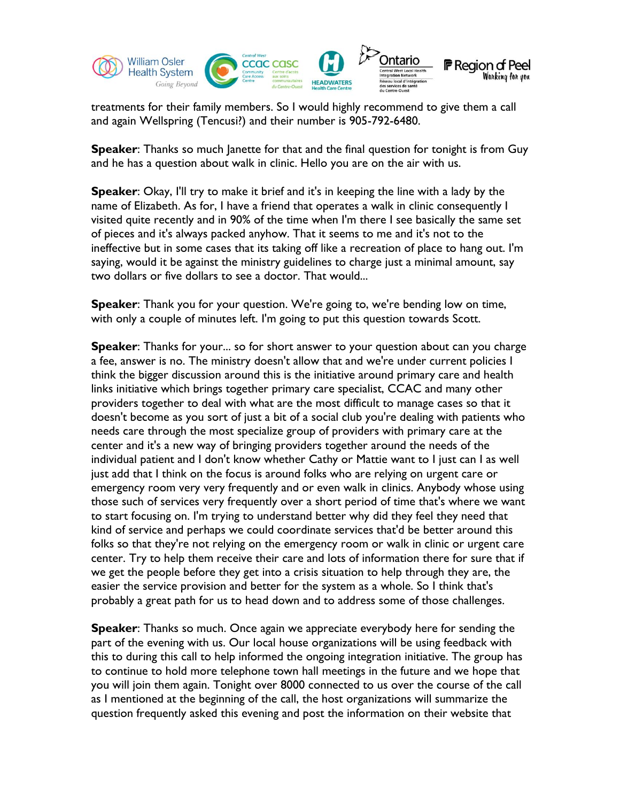

treatments for their family members. So I would highly recommend to give them a call and again Wellspring (Tencusi?) and their number is 905-792-6480.

**Speaker:** Thanks so much Janette for that and the final question for tonight is from Guy and he has a question about walk in clinic. Hello you are on the air with us.

**Speaker**: Okay, I'll try to make it brief and it's in keeping the line with a lady by the name of Elizabeth. As for, I have a friend that operates a walk in clinic consequently I visited quite recently and in 90% of the time when I'm there I see basically the same set of pieces and it's always packed anyhow. That it seems to me and it's not to the ineffective but in some cases that its taking off like a recreation of place to hang out. I'm saying, would it be against the ministry guidelines to charge just a minimal amount, say two dollars or five dollars to see a doctor. That would...

**Speaker**: Thank you for your question. We're going to, we're bending low on time, with only a couple of minutes left. I'm going to put this question towards Scott.

**Speaker**: Thanks for your... so for short answer to your question about can you charge a fee, answer is no. The ministry doesn't allow that and we're under current policies I think the bigger discussion around this is the initiative around primary care and health links initiative which brings together primary care specialist, CCAC and many other providers together to deal with what are the most difficult to manage cases so that it doesn't become as you sort of just a bit of a social club you're dealing with patients who needs care through the most specialize group of providers with primary care at the center and it's a new way of bringing providers together around the needs of the individual patient and I don't know whether Cathy or Mattie want to I just can I as well just add that I think on the focus is around folks who are relying on urgent care or emergency room very very frequently and or even walk in clinics. Anybody whose using those such of services very frequently over a short period of time that's where we want to start focusing on. I'm trying to understand better why did they feel they need that kind of service and perhaps we could coordinate services that'd be better around this folks so that they're not relying on the emergency room or walk in clinic or urgent care center. Try to help them receive their care and lots of information there for sure that if we get the people before they get into a crisis situation to help through they are, the easier the service provision and better for the system as a whole. So I think that's probably a great path for us to head down and to address some of those challenges.

**Speaker**: Thanks so much. Once again we appreciate everybody here for sending the part of the evening with us. Our local house organizations will be using feedback with this to during this call to help informed the ongoing integration initiative. The group has to continue to hold more telephone town hall meetings in the future and we hope that you will join them again. Tonight over 8000 connected to us over the course of the call as I mentioned at the beginning of the call, the host organizations will summarize the question frequently asked this evening and post the information on their website that